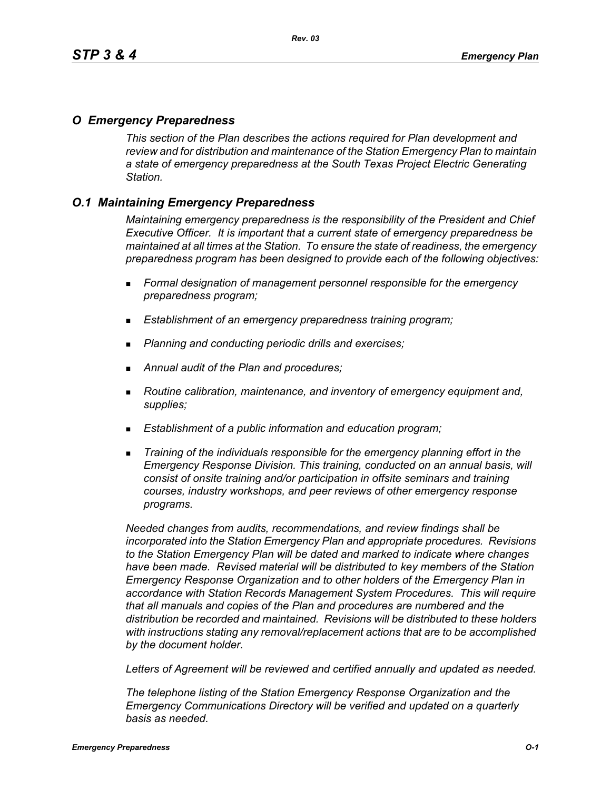### *O Emergency Preparedness*

*This section of the Plan describes the actions required for Plan development and review and for distribution and maintenance of the Station Emergency Plan to maintain a state of emergency preparedness at the South Texas Project Electric Generating Station.*

## *O.1 Maintaining Emergency Preparedness*

*Maintaining emergency preparedness is the responsibility of the President and Chief Executive Officer. It is important that a current state of emergency preparedness be maintained at all times at the Station. To ensure the state of readiness, the emergency preparedness program has been designed to provide each of the following objectives:*

- *Formal designation of management personnel responsible for the emergency preparedness program;*
- *Establishment of an emergency preparedness training program;*
- *Planning and conducting periodic drills and exercises;*
- *Annual audit of the Plan and procedures;*
- *Routine calibration, maintenance, and inventory of emergency equipment and, supplies;*
- *Establishment of a public information and education program;*
- *Training of the individuals responsible for the emergency planning effort in the Emergency Response Division. This training, conducted on an annual basis, will consist of onsite training and/or participation in offsite seminars and training courses, industry workshops, and peer reviews of other emergency response programs.*

*Needed changes from audits, recommendations, and review findings shall be incorporated into the Station Emergency Plan and appropriate procedures. Revisions to the Station Emergency Plan will be dated and marked to indicate where changes have been made. Revised material will be distributed to key members of the Station Emergency Response Organization and to other holders of the Emergency Plan in accordance with Station Records Management System Procedures. This will require that all manuals and copies of the Plan and procedures are numbered and the distribution be recorded and maintained. Revisions will be distributed to these holders with instructions stating any removal/replacement actions that are to be accomplished by the document holder.*

*Letters of Agreement will be reviewed and certified annually and updated as needed.*

*The telephone listing of the Station Emergency Response Organization and the Emergency Communications Directory will be verified and updated on a quarterly basis as needed.*